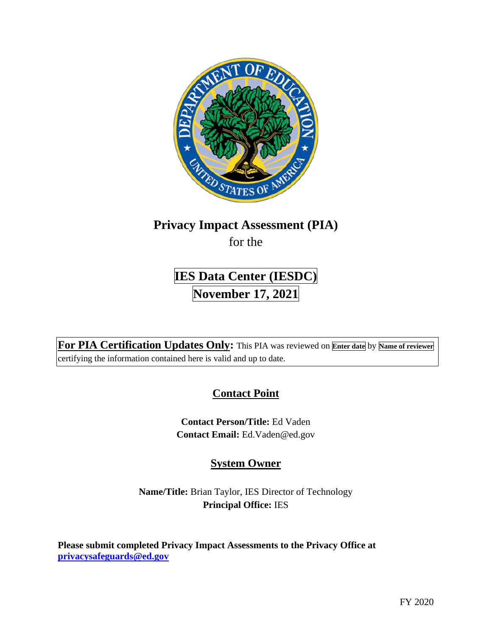

## **Privacy Impact Assessment (PIA)**

for the

# **IES Data Center (IESDC) November 17, 2021**

**For PIA Certification Updates Only:** This PIA was reviewed on **Enter date** by **Name of reviewer**  certifying the information contained here is valid and up to date.

## **Contact Point**

**Contact Person/Title:** Ed Vaden **Contact Email:** [Ed.Vaden@ed.gov](mailto:Ed.Vaden@ed.gov)

## **System Owner**

**Name/Title:** Brian Taylor, IES Director of Technology **Principal Office:** IES

**Please submit completed Privacy Impact Assessments to the Privacy Office at [privacysafeguards@ed.gov](mailto:privacysafeguards@ed.gov)**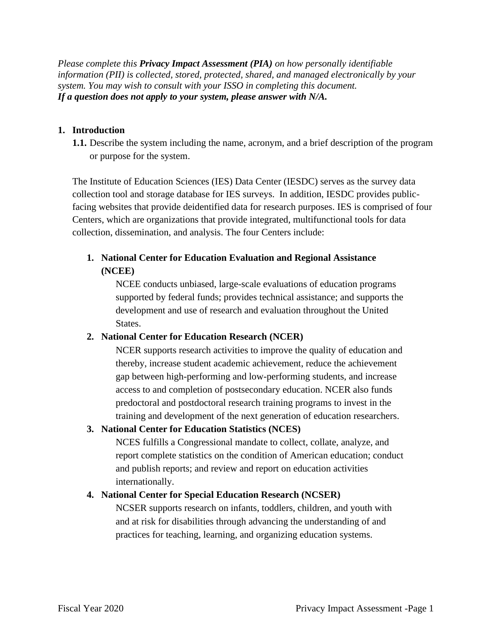*Please complete this Privacy Impact Assessment (PIA) on how personally identifiable information (PII) is collected, stored, protected, shared, and managed electronically by your system. You may wish to consult with your ISSO in completing this document. If a question does not apply to your system, please answer with N/A.* 

#### **1. Introduction**

**1.1.** Describe the system including the name, acronym, and a brief description of the program or purpose for the system.

The Institute of Education Sciences (IES) Data Center (IESDC) serves as the survey data collection tool and storage database for IES surveys. In addition, IESDC provides publicfacing websites that provide deidentified data for research purposes. IES is comprised of four Centers, which are organizations that provide integrated, multifunctional tools for data collection, dissemination, and analysis. The four Centers include:

## **1. National Center for Education Evaluation and Regional Assistance (NCEE)**

NCEE conducts unbiased, large-scale evaluations of education programs supported by federal funds; provides technical assistance; and supports the development and use of research and evaluation throughout the United States.

#### **2. National Center for Education Research (NCER)**

NCER supports research activities to improve the quality of education and thereby, increase student academic achievement, reduce the achievement gap between high-performing and low-performing students, and increase access to and completion of postsecondary education. NCER also funds predoctoral and postdoctoral research training programs to invest in the training and development of the next generation of education researchers.

#### **3. National Center for Education Statistics (NCES)**

NCES fulfills a Congressional mandate to collect, collate, analyze, and report complete statistics on the condition of American education; conduct and publish reports; and review and report on education activities internationally.

#### **4. National Center for Special Education Research (NCSER)**

NCSER supports research on infants, toddlers, children, and youth with and at risk for disabilities through advancing the understanding of and practices for teaching, learning, and organizing education systems.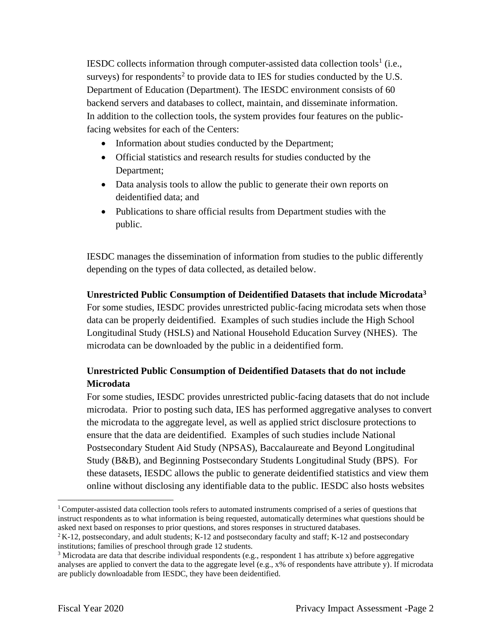IESDC collects information through computer-assisted data collection tools<sup>1</sup> (i.e., surveys) for respondents<sup>2</sup> to provide data to IES for studies conducted by the U.S. Department of Education (Department). The IESDC environment consists of 60 backend servers and databases to collect, maintain, and disseminate information. In addition to the collection tools, the system provides four features on the publicfacing websites for each of the Centers:

- Information about studies conducted by the Department;
- Official statistics and research results for studies conducted by the Department;
- Data analysis tools to allow the public to generate their own reports on deidentified data; and
- Publications to share official results from Department studies with the public.

IESDC manages the dissemination of information from studies to the public differently depending on the types of data collected, as detailed below.

**Unrestricted Public Consumption of Deidentified Datasets that include Microdata3**  For some studies, IESDC provides unrestricted public-facing microdata sets when those data can be properly deidentified. Examples of such studies include the High School Longitudinal Study (HSLS) and National Household Education Survey (NHES). The microdata can be downloaded by the public in a deidentified form.

## **Unrestricted Public Consumption of Deidentified Datasets that do not include Microdata**

For some studies, IESDC provides unrestricted public-facing datasets that do not include microdata. Prior to posting such data, IES has performed aggregative analyses to convert the microdata to the aggregate level, as well as applied strict disclosure protections to ensure that the data are deidentified. Examples of such studies include National Postsecondary Student Aid Study (NPSAS), Baccalaureate and Beyond Longitudinal Study (B&B), and Beginning Postsecondary Students Longitudinal Study (BPS). For these datasets, IESDC allows the public to generate deidentified statistics and view them online without disclosing any identifiable data to the public. IESDC also hosts websites

<sup>&</sup>lt;sup>1</sup> Computer-assisted data collection tools refers to automated instruments comprised of a series of questions that instruct respondents as to what information is being requested, automatically determines what questions should be asked next based on responses to prior questions, and stores responses in structured databases. asked next based on responses to prior questions, and stores responses in structured databases.<br><sup>2</sup> K-12, postsecondary, and adult students; K-12 and postsecondary faculty and staff; K-12 and postsecondary

institutions; families of preschool through grade 12 students.

 analyses are applied to convert the data to the aggregate level (e.g., x% of respondents have attribute y). If microdata are publicly downloadable from IESDC, they have been deidentified.  $3$  Microdata are data that describe individual respondents (e.g., respondent 1 has attribute x) before aggregative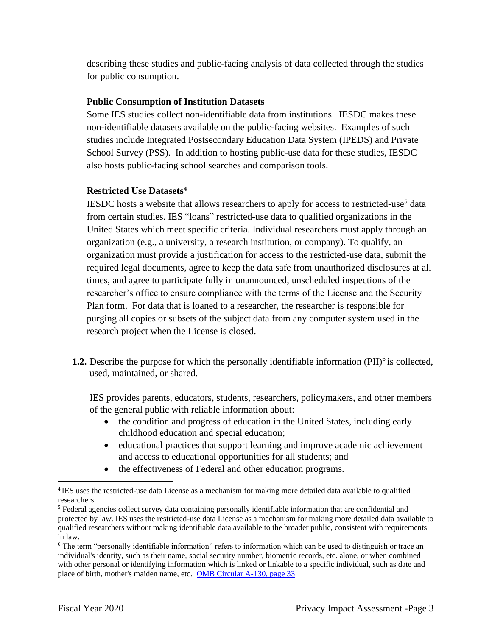describing these studies and public-facing analysis of data collected through the studies for public consumption.

#### **Public Consumption of Institution Datasets**

Some IES studies collect non-identifiable data from institutions. IESDC makes these non-identifiable datasets available on the public-facing websites. Examples of such studies include Integrated Postsecondary Education Data System (IPEDS) and Private School Survey (PSS). In addition to hosting public-use data for these studies, IESDC also hosts public-facing school searches and comparison tools.

#### **Restricted Use Datasets4**

 Plan form. For data that is loaned to a researcher, the researcher is responsible for IESDC hosts a website that allows researchers to apply for access to restricted-use<sup>5</sup> data from certain studies. IES "loans" restricted-use data to qualified organizations in the United States which meet specific criteria. Individual researchers must apply through an organization (e.g., a university, a research institution, or company). To qualify, an organization must provide a justification for access to the restricted-use data, submit the required legal documents, agree to keep the data safe from unauthorized disclosures at all times, and agree to participate fully in unannounced, unscheduled inspections of the researcher's office to ensure compliance with the terms of the License and the Security purging all copies or subsets of the subject data from any computer system used in the research project when the License is closed.

**1.2.** Describe the purpose for which the personally identifiable information  $(PII)^6$  is collected, used, maintained, or shared.

IES provides parents, educators, students, researchers, policymakers, and other members of the general public with reliable information about:

- the condition and progress of education in the United States, including early childhood education and special education;
- educational practices that support learning and improve academic achievement and access to educational opportunities for all students; and
- the effectiveness of Federal and other education programs.

<sup>&</sup>lt;sup>4</sup> IES uses the restricted-use data License as a mechanism for making more detailed data available to qualified researchers.

 protected by law. IES uses the restricted-use data License as a mechanism for making more detailed data available to qualified researchers without making identifiable data available to the broader public, consistent with requirements 5 Federal agencies collect survey data containing personally identifiable information that are confidential and

in law.<br><sup>6</sup> The term "personally identifiable information" refers to information which can be used to distinguish or trace an individual's identity, such as their name, social security number, biometric records, etc. alone, or when combined with other personal or identifying information which is linked or linkable to a specific individual, such as date and place of birth, mother's maiden name, etc. OMB Circular A-130, page 33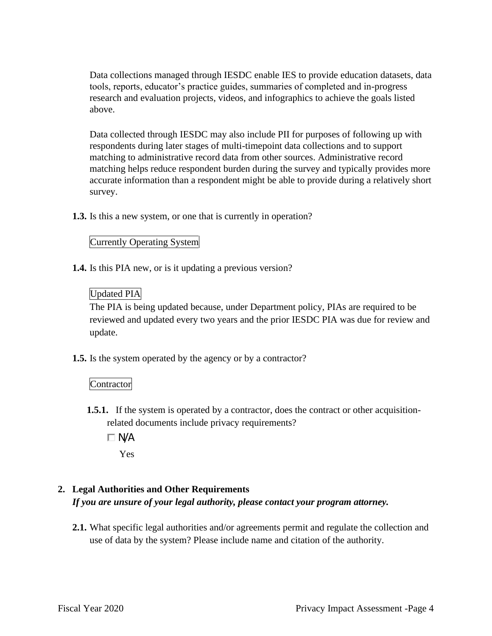Data collections managed through IESDC enable IES to provide education datasets, data tools, reports, educator's practice guides, summaries of completed and in-progress research and evaluation projects, videos, and infographics to achieve the goals listed above.

Data collected through IESDC may also include PII for purposes of following up with respondents during later stages of multi-timepoint data collections and to support matching to administrative record data from other sources. Administrative record matching helps reduce respondent burden during the survey and typically provides more accurate information than a respondent might be able to provide during a relatively short survey.

**1.3.** Is this a new system, or one that is currently in operation?

#### Currently Operating System

**1.4.** Is this PIA new, or is it updating a previous version?

#### Updated PIA

 reviewed and updated every two years and the prior IESDC PIA was due for review and The PIA is being updated because, under Department policy, PIAs are required to be update.

**1.5.** Is the system operated by the agency or by a contractor?

#### **Contractor**

- **1.5.1.** If the system is operated by a contractor, does the contract or other acquisitionrelated documents include privacy requirements?
	- $\Box$  N/A

Yes

## **2. Legal Authorities and Other Requirements**

*If you are unsure of your legal authority, please contact your program attorney.* 

**2.1.** What specific legal authorities and/or agreements permit and regulate the collection and use of data by the system? Please include name and citation of the authority.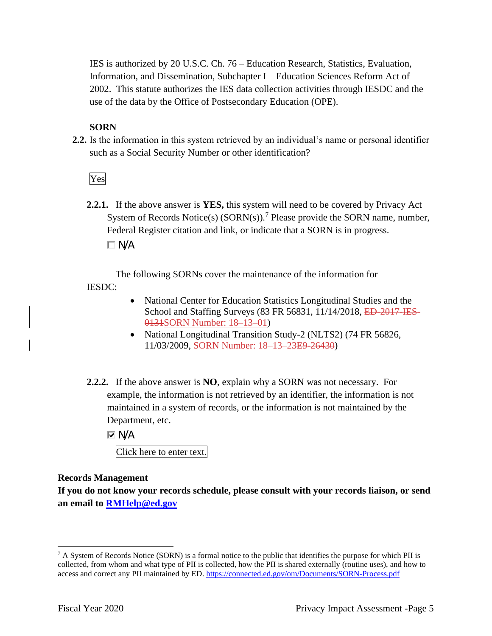Information, and Dissemination, Subchapter I – Education Sciences Reform Act of IES is authorized by 20 U.S.C. Ch. 76 – Education Research, Statistics, Evaluation, 2002. This statute authorizes the IES data collection activities through IESDC and the use of the data by the Office of Postsecondary Education (OPE).

#### **SORN**

**2.2.** Is the information in this system retrieved by an individual's name or personal identifier such as a Social Security Number or other identification?

Yes

**2.2.1.** If the above answer is **YES,** this system will need to be covered by Privacy Act System of Records Notice(s)  $(SORN(s))$ .<sup>7</sup> Please provide the SORN name, number, Federal Register citation and link, or indicate that a SORN is in progress.  $\Box$  N/A

The following SORNs cover the maintenance of the information for IESDC:

- National Center for Education Statistics Longitudinal Studies and the School and Staffing Surveys (83 FR 56831, 11/14/2018, ED-2017-IES-0131SORN Number: 18–13–01)
- National Longitudinal Transition Study-2 (NLTS2) (74 FR 56826, 11/03/2009, SORN Number: 18–13–23E9-26430)
- Department, etc. **2.2.2.** If the above answer is **NO**, explain why a SORN was not necessary. For example, the information is not retrieved by an identifier, the information is not maintained in a system of records, or the information is not maintained by the

**I**⊽ N/A

Click here to enter text.

#### **Records Management**

**If you do not know your records schedule, please consult with your records liaison, or send an email to [RMHelp@ed.gov](mailto:RMHelp@ed.gov)** 

 $7 A$  System of Records Notice (SORN) is a formal notice to the public that identifies the purpose for which PII is collected, from whom and what type of PII is collected, how the PII is shared externally (routine uses), and how to access and correct any PII maintained by ED. https://connected.ed.gov/om/Documents/SORN-Process.pdf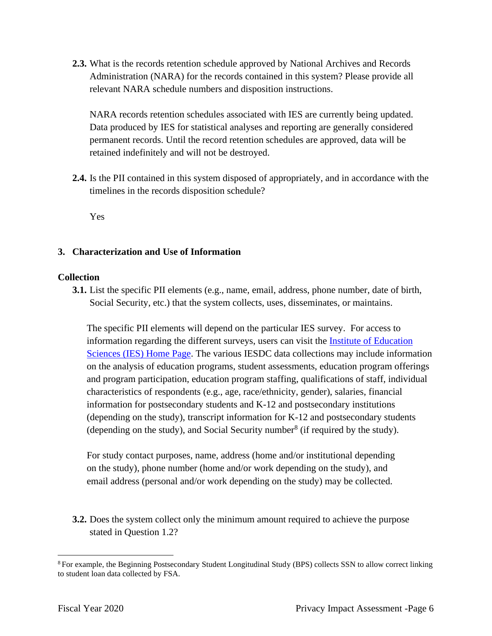**2.3.** What is the records retention schedule approved by National Archives and Records Administration (NARA) for the records contained in this system? Please provide all relevant NARA schedule numbers and disposition instructions.

NARA records retention schedules associated with IES are currently being updated. Data produced by IES for statistical analyses and reporting are generally considered permanent records. Until the record retention schedules are approved, data will be retained indefinitely and will not be destroyed.

**2.4.** Is the PII contained in this system disposed of appropriately, and in accordance with the timelines in the records disposition schedule?

Yes

#### **3. Characterization and Use of Information**

#### **Collection**

**3.1.** List the specific PII elements (e.g., name, email, address, phone number, date of birth, Social Security, etc.) that the system collects, uses, disseminates, or maintains.

The specific PII elements will depend on the particular IES survey. For access to information regarding the different surveys, users can visit the Institute of Education Sciences (IES) Home Page. The various IESDC data collections may include information on the analysis of education programs, student assessments, education program offerings and program participation, education program staffing, qualifications of staff, individual characteristics of respondents (e.g., age, race/ethnicity, gender), salaries, financial information for postsecondary students and K-12 and postsecondary institutions (depending on the study), transcript information for K-12 and postsecondary students (depending on the study), and Social Security number  $\delta$  (if required by the study).

For study contact purposes, name, address (home and/or institutional depending on the study), phone number (home and/or work depending on the study), and email address (personal and/or work depending on the study) may be collected.

**3.2.** Does the system collect only the minimum amount required to achieve the purpose stated in Question 1.2?

<sup>&</sup>lt;sup>8</sup> For example, the Beginning Postsecondary Student Longitudinal Study (BPS) collects SSN to allow correct linking to student loan data collected by FSA.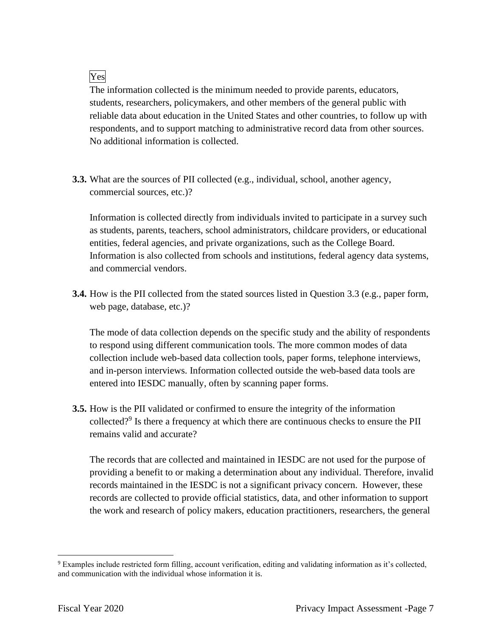## Yes

The information collected is the minimum needed to provide parents, educators, students, researchers, policymakers, and other members of the general public with reliable data about education in the United States and other countries, to follow up with respondents, and to support matching to administrative record data from other sources. No additional information is collected.

**3.3.** What are the sources of PII collected (e.g., individual, school, another agency, commercial sources, etc.)?

entities, federal agencies, and private organizations, such as the College Board. and commercial vendors. Information is collected directly from individuals invited to participate in a survey such as students, parents, teachers, school administrators, childcare providers, or educational Information is also collected from schools and institutions, federal agency data systems,

**3.4.** How is the PII collected from the stated sources listed in Question 3.3 (e.g., paper form, web page, database, etc.)?

The mode of data collection depends on the specific study and the ability of respondents to respond using different communication tools. The more common modes of data collection include web-based data collection tools, paper forms, telephone interviews, and in-person interviews. Information collected outside the web-based data tools are entered into IESDC manually, often by scanning paper forms.

collected?<sup>9</sup> Is there a frequency at which there are continuous checks to ensure the PII **3.5.** How is the PII validated or confirmed to ensure the integrity of the information remains valid and accurate?

The records that are collected and maintained in IESDC are not used for the purpose of providing a benefit to or making a determination about any individual. Therefore, invalid records maintained in the IESDC is not a significant privacy concern. However, these records are collected to provide official statistics, data, and other information to support the work and research of policy makers, education practitioners, researchers, the general

 $9$  Examples include restricted form filling, account verification, editing and validating information as it's collected, and communication with the individual whose information it is.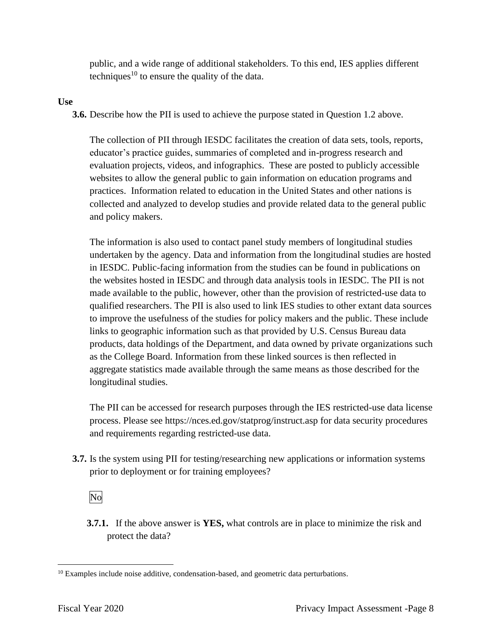public, and a wide range of additional stakeholders. To this end, IES applies different techniques<sup>10</sup> to ensure the quality of the data.

#### **Use**

**3.6.** Describe how the PII is used to achieve the purpose stated in Question 1.2 above.

The collection of PII through IESDC facilitates the creation of data sets, tools, reports, educator's practice guides, summaries of completed and in-progress research and evaluation projects, videos, and infographics. These are posted to publicly accessible websites to allow the general public to gain information on education programs and practices. Information related to education in the United States and other nations is collected and analyzed to develop studies and provide related data to the general public and policy makers.

The information is also used to contact panel study members of longitudinal studies undertaken by the agency. Data and information from the longitudinal studies are hosted in IESDC. Public-facing information from the studies can be found in publications on the websites hosted in IESDC and through data analysis tools in IESDC. The PII is not made available to the public, however, other than the provision of restricted-use data to qualified researchers. The PII is also used to link IES studies to other extant data sources to improve the usefulness of the studies for policy makers and the public. These include links to geographic information such as that provided by U.S. Census Bureau data products, data holdings of the Department, and data owned by private organizations such as the College Board. Information from these linked sources is then reflected in aggregate statistics made available through the same means as those described for the longitudinal studies.

The PII can be accessed for research purposes through the IES restricted-use data license process. Please see<https://nces.ed.gov/statprog/instruct.asp>for data security procedures and requirements regarding restricted-use data.

**3.7.** Is the system using PII for testing/researching new applications or information systems prior to deployment or for training employees?

No

**3.7.1.** If the above answer is **YES,** what controls are in place to minimize the risk and protect the data?

<sup>&</sup>lt;sup>10</sup> Examples include noise additive, condensation-based, and geometric data perturbations.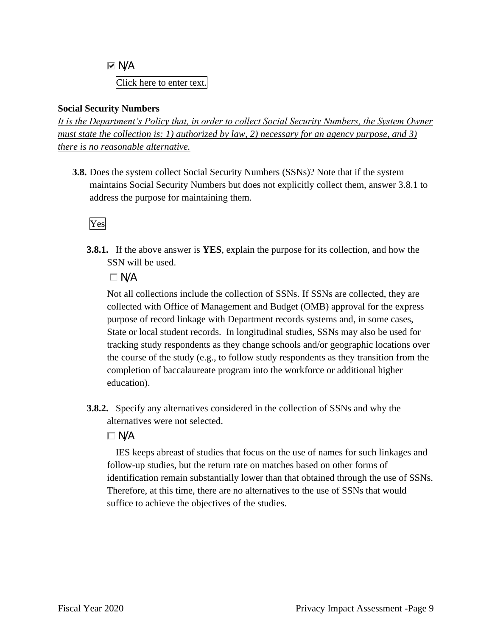**I**⊽ N/A Click here to enter text.

#### **Social Security Numbers**

*It is the Department's Policy that, in order to collect Social Security Numbers, the System Owner must state the collection is: 1) authorized by law, 2) necessary for an agency purpose, and 3) there is no reasonable alternative.* 

**3.8.** Does the system collect Social Security Numbers (SSNs)? Note that if the system maintains Social Security Numbers but does not explicitly collect them, answer 3.8.1 to address the purpose for maintaining them.

## Yes

**3.8.1.** If the above answer is **YES**, explain the purpose for its collection, and how the SSN will be used.

 $\Box$  N/A

Not all collections include the collection of SSNs. If SSNs are collected, they are collected with Office of Management and Budget (OMB) approval for the express purpose of record linkage with Department records systems and, in some cases, State or local student records. In longitudinal studies, SSNs may also be used for tracking study respondents as they change schools and/or geographic locations over the course of the study (e.g., to follow study respondents as they transition from the completion of baccalaureate program into the workforce or additional higher education).

**3.8.2.** Specify any alternatives considered in the collection of SSNs and why the alternatives were not selected.

## $\Box$  N/A

 identification remain substantially lower than that obtained through the use of SSNs. IES keeps abreast of studies that focus on the use of names for such linkages and follow-up studies, but the return rate on matches based on other forms of Therefore, at this time, there are no alternatives to the use of SSNs that would suffice to achieve the objectives of the studies.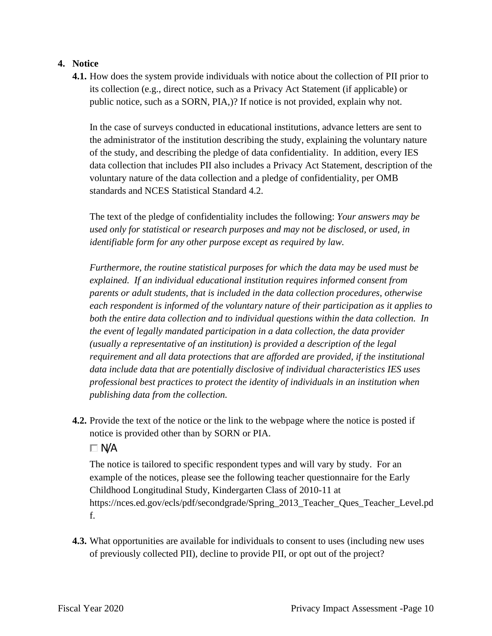#### **4. Notice**

**4.1.** How does the system provide individuals with notice about the collection of PII prior to its collection (e.g., direct notice, such as a Privacy Act Statement (if applicable) or public notice, such as a SORN, PIA,)? If notice is not provided, explain why not.

In the case of surveys conducted in educational institutions, advance letters are sent to the administrator of the institution describing the study, explaining the voluntary nature of the study, and describing the pledge of data confidentiality. In addition, every IES data collection that includes PII also includes a Privacy Act Statement, description of the voluntary nature of the data collection and a pledge of confidentiality, per OMB standards and NCES Statistical Standard 4.2.

The text of the pledge of confidentiality includes the following: *Your answers may be used only for statistical or research purposes and may not be disclosed, or used, in identifiable form for any other purpose except as required by law.* 

 *publishing data from the collection. Furthermore, the routine statistical purposes for which the data may be used must be explained. If an individual educational institution requires informed consent from parents or adult students, that is included in the data collection procedures, otherwise each respondent is informed of the voluntary nature of their participation as it applies to both the entire data collection and to individual questions within the data collection. In the event of legally mandated participation in a data collection, the data provider (usually a representative of an institution) is provided a description of the legal requirement and all data protections that are afforded are provided, if the institutional data include data that are potentially disclosive of individual characteristics IES uses professional best practices to protect the identity of individuals in an institution when* 

**4.2.** Provide the text of the notice or the link to the webpage where the notice is posted if notice is provided other than by SORN or PIA.

#### $\Box$  N/A

The notice is tailored to specific respondent types and will vary by study. For an example of the notices, please see the following teacher questionnaire for the Early Childhood Longitudinal Study, Kindergarten Class of 2010-11 at [https://nces.ed.gov/ecls/pdf/secondgrade/Spring\\_2013\\_Teacher\\_Ques\\_Teacher\\_Level.pd](https://nces.ed.gov/ecls/pdf/secondgrade/Spring_2013_Teacher_Ques_Teacher_Level.pd)  f.

**4.3.** What opportunities are available for individuals to consent to uses (including new uses of previously collected PII), decline to provide PII, or opt out of the project?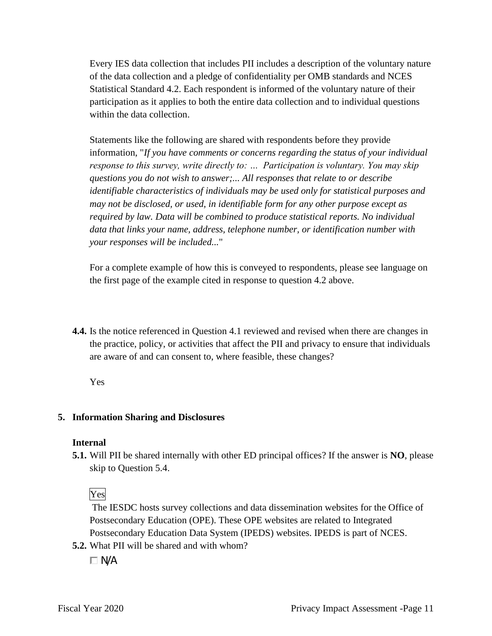Every IES data collection that includes PII includes a description of the voluntary nature of the data collection and a pledge of confidentiality per OMB standards and NCES Statistical Standard 4.2. Each respondent is informed of the voluntary nature of their participation as it applies to both the entire data collection and to individual questions within the data collection.

Statements like the following are shared with respondents before they provide information, "*If you have comments or concerns regarding the status of your individual response to this survey, write directly to: … Participation is voluntary. You may skip questions you do not wish to answer;... All responses that relate to or describe identifiable characteristics of individuals may be used only for statistical purposes and may not be disclosed, or used, in identifiable form for any other purpose except as required by law. Data will be combined to produce statistical reports. No individual data that links your name, address, telephone number, or identification number with your responses will be included...*"

For a complete example of how this is conveyed to respondents, please see language on the first page of the example cited in response to question 4.2 above.

**4.4.** Is the notice referenced in Question 4.1 reviewed and revised when there are changes in the practice, policy, or activities that affect the PII and privacy to ensure that individuals are aware of and can consent to, where feasible, these changes?

Yes

#### **5. Information Sharing and Disclosures**

#### **Internal**

**5.1.** Will PII be shared internally with other ED principal offices? If the answer is **NO**, please skip to Question 5.4.

Yes

The IESDC hosts survey collections and data dissemination websites for the Office of Postsecondary Education (OPE). These OPE websites are related to Integrated Postsecondary Education Data System (IPEDS) websites. IPEDS is part of NCES.

**5.2.** What PII will be shared and with whom?

 $\Box$  N/A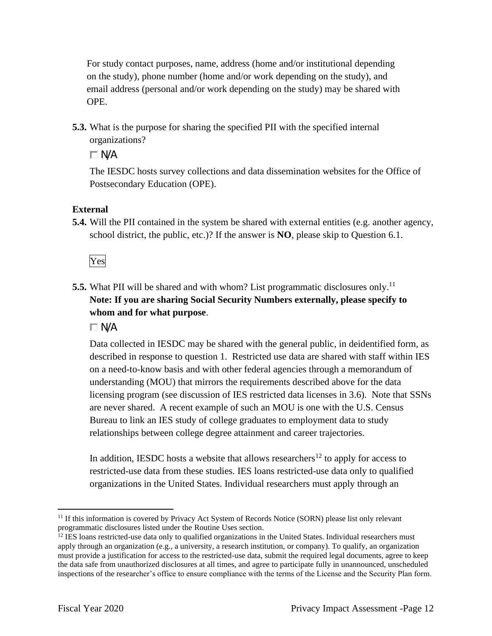For study contact purposes, name, address (home and/or institutional depending on the study), phone number (home and/or work depending on the study), and email address (personal and/or work depending on the study) may be shared with OPE.

**5.3.** What is the purpose for sharing the specified PII with the specified internal organizations?

 $\Box$  N/A

The IESDC hosts survey collections and data dissemination websites for the Office of Postsecondary Education (OPE).

## **External**

**5.4.** Will the PII contained in the system be shared with external entities (e.g. another agency, school district, the public, etc.)? If the answer is **NO**, please skip to Question 6.1.

Yes

**5.5.** What PII will be shared and with whom? List programmatic disclosures only.<sup>11</sup> **Note: If you are sharing Social Security Numbers externally, please specify to whom and for what purpose**.

 $\Box$  N/A

Data collected in IESDC may be shared with the general public, in deidentified form, as described in response to question 1. Restricted use data are shared with staff within IES on a need-to-know basis and with other federal agencies through a memorandum of understanding (MOU) that mirrors the requirements described above for the data licensing program (see discussion of IES restricted data licenses in 3.6). Note that SSNs are never shared. A recent example of such an MOU is one with the U.S. Census Bureau to link an IES study of college graduates to employment data to study relationships between college degree attainment and career trajectories.

In addition, IESDC hosts a website that allows researchers<sup>12</sup> to apply for access to restricted-use data from these studies. IES loans restricted-use data only to qualified organizations in the United States. Individual researchers must apply through an

 $11$  If this information is covered by Privacy Act System of Records Notice (SORN) please list only relevant programmatic disclosures listed under the Routine Uses section.

programmatic disclosures listed under the Routine Uses section.<br><sup>12</sup> IES loans restricted-use data only to qualified organizations in the United States. Individual researchers must apply through an organization (e.g., a university, a research institution, or company). To qualify, an organization must provide a justification for access to the restricted-use data, submit the required legal documents, agree to keep the data safe from unauthorized disclosures at all times, and agree to participate fully in unannounced, unscheduled inspections of the researcher's office to ensure compliance with the terms of the License and the Security Plan form.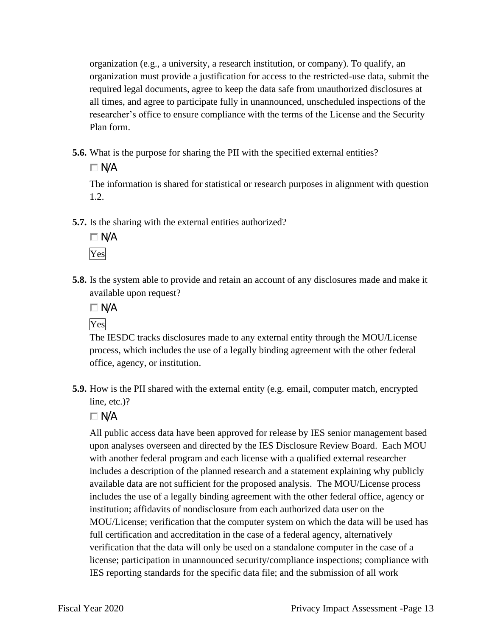organization (e.g., a university, a research institution, or company). To qualify, an organization must provide a justification for access to the restricted-use data, submit the required legal documents, agree to keep the data safe from unauthorized disclosures at all times, and agree to participate fully in unannounced, unscheduled inspections of the researcher's office to ensure compliance with the terms of the License and the Security Plan form.

**5.6.** What is the purpose for sharing the PII with the specified external entities?

 $\Box$  N/A

The information is shared for statistical or research purposes in alignment with question 1.2.

**5.7.** Is the sharing with the external entities authorized?



**5.8.** Is the system able to provide and retain an account of any disclosures made and make it available upon request?



The IESDC tracks disclosures made to any external entity through the MOU/License process, which includes the use of a legally binding agreement with the other federal office, agency, or institution.

**5.9.** How is the PII shared with the external entity (e.g. email, computer match, encrypted line, etc.)?

 $\Box$  N/A

 verification that the data will only be used on a standalone computer in the case of a All public access data have been approved for release by IES senior management based upon analyses overseen and directed by the IES Disclosure Review Board. Each MOU with another federal program and each license with a qualified external researcher includes a description of the planned research and a statement explaining why publicly available data are not sufficient for the proposed analysis. The MOU/License process includes the use of a legally binding agreement with the other federal office, agency or institution; affidavits of nondisclosure from each authorized data user on the MOU/License; verification that the computer system on which the data will be used has full certification and accreditation in the case of a federal agency, alternatively license; participation in unannounced security/compliance inspections; compliance with IES reporting standards for the specific data file; and the submission of all work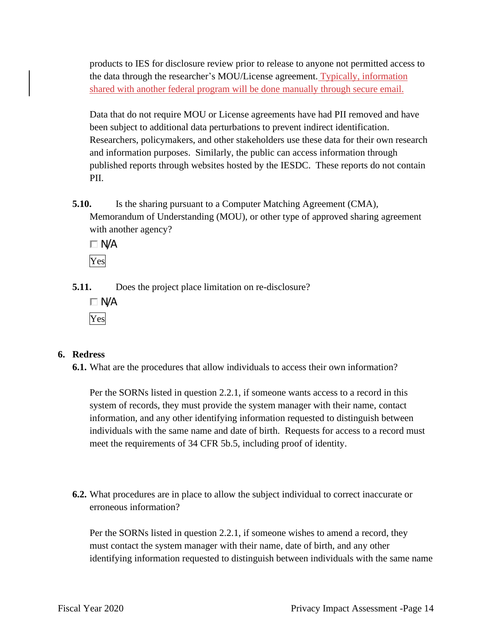products to IES for disclosure review prior to release to anyone not permitted access to the data through the researcher's MOU/License agreement. Typically, information shared with another federal program will be done manually through secure email.

Data that do not require MOU or License agreements have had PII removed and have been subject to additional data perturbations to prevent indirect identification. Researchers, policymakers, and other stakeholders use these data for their own research and information purposes. Similarly, the public can access information through published reports through websites hosted by the IESDC. These reports do not contain PII.

**5.10.** Is the sharing pursuant to a Computer Matching Agreement (CMA), Memorandum of Understanding (MOU), or other type of approved sharing agreement with another agency?

 $\square$  N/A Yes

**5.11.** Does the project place limitation on re-disclosure?

 $\Box$  N/A Yes

#### **6. Redress**

**6.1.** What are the procedures that allow individuals to access their own information?

Per the SORNs listed in question 2.2.1, if someone wants access to a record in this system of records, they must provide the system manager with their name, contact information, and any other identifying information requested to distinguish between individuals with the same name and date of birth. Requests for access to a record must meet the requirements of 34 CFR 5b.5, including proof of identity.

**6.2.** What procedures are in place to allow the subject individual to correct inaccurate or erroneous information?

Per the SORNs listed in question 2.2.1, if someone wishes to amend a record, they must contact the system manager with their name, date of birth, and any other identifying information requested to distinguish between individuals with the same name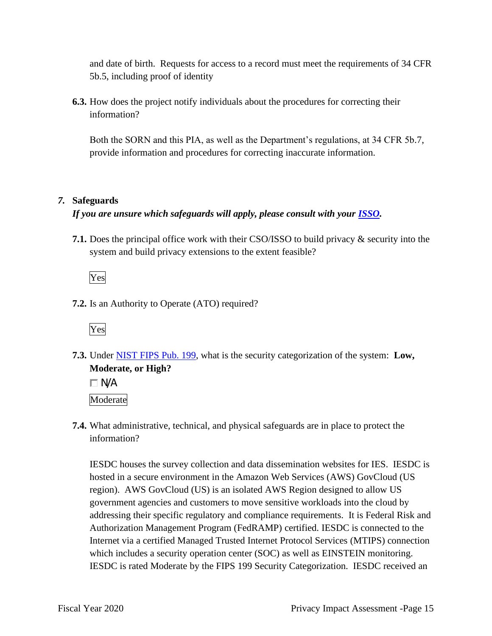and date of birth. Requests for access to a record must meet the requirements of 34 CFR 5b.5, including proof of identity

**6.3.** How does the project notify individuals about the procedures for correcting their information?

Both the SORN and this PIA, as well as the Department's regulations, at 34 CFR 5b.7, provide information and procedures for correcting inaccurate information.

#### *7.* **Safeguards**

## *If you are unsure which safeguards will apply, please consult with your ISSO.*

**7.1.** Does the principal office work with their CSO/ISSO to build privacy & security into the system and build privacy extensions to the extent feasible?

Yes

**7.2.** Is an Authority to Operate (ATO) required?



 **7.3.** Under NIST FIPS Pub. 199, what is the security categorization of the system: **Low, Moderate, or High?** 

 $\Box$  N/A Moderate

**7.4.** What administrative, technical, and physical safeguards are in place to protect the information?

IESDC houses the survey collection and data dissemination websites for IES. IESDC is hosted in a secure environment in the Amazon Web Services (AWS) GovCloud (US region). AWS GovCloud (US) is an isolated AWS Region designed to allow US government agencies and customers to move sensitive workloads into the cloud by addressing their specific regulatory and compliance requirements. It is Federal Risk and Authorization Management Program (FedRAMP) certified. IESDC is connected to the Internet via a certified Managed Trusted Internet Protocol Services (MTIPS) connection which includes a security operation center (SOC) as well as EINSTEIN monitoring. IESDC is rated Moderate by the FIPS 199 Security Categorization. IESDC received an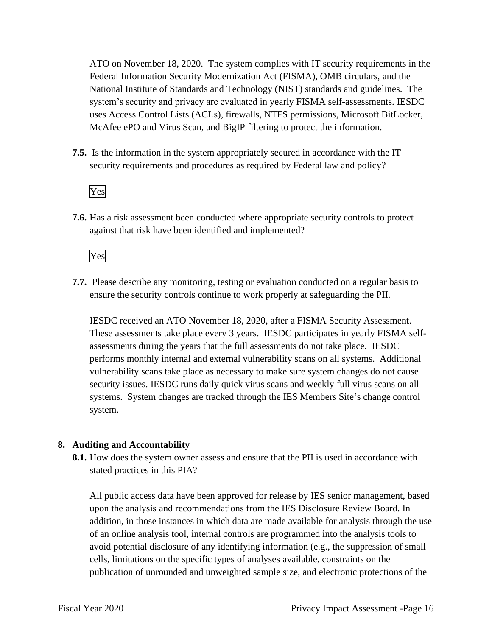National Institute of Standards and Technology (NIST) standards and guidelines. The ATO on November 18, 2020. The system complies with IT security requirements in the Federal Information Security Modernization Act (FISMA), OMB circulars, and the system's security and privacy are evaluated in yearly FISMA self-assessments. IESDC uses Access Control Lists (ACLs), firewalls, NTFS permissions, Microsoft BitLocker, McAfee ePO and Virus Scan, and BigIP filtering to protect the information.

**7.5.** Is the information in the system appropriately secured in accordance with the IT security requirements and procedures as required by Federal law and policy?

#### Yes

**7.6.** Has a risk assessment been conducted where appropriate security controls to protect against that risk have been identified and implemented?

Yes

**7.7.** Please describe any monitoring, testing or evaluation conducted on a regular basis to ensure the security controls continue to work properly at safeguarding the PII.

IESDC received an ATO November 18, 2020, after a FISMA Security Assessment. These assessments take place every 3 years. IESDC participates in yearly FISMA selfassessments during the years that the full assessments do not take place. IESDC performs monthly internal and external vulnerability scans on all systems. Additional vulnerability scans take place as necessary to make sure system changes do not cause security issues. IESDC runs daily quick virus scans and weekly full virus scans on all systems. System changes are tracked through the IES Members Site's change control system.

#### **8. Auditing and Accountability**

**8.1.** How does the system owner assess and ensure that the PII is used in accordance with stated practices in this PIA?

All public access data have been approved for release by IES senior management, based upon the analysis and recommendations from the IES Disclosure Review Board. In addition, in those instances in which data are made available for analysis through the use of an online analysis tool, internal controls are programmed into the analysis tools to avoid potential disclosure of any identifying information (e.g., the suppression of small cells, limitations on the specific types of analyses available, constraints on the publication of unrounded and unweighted sample size, and electronic protections of the